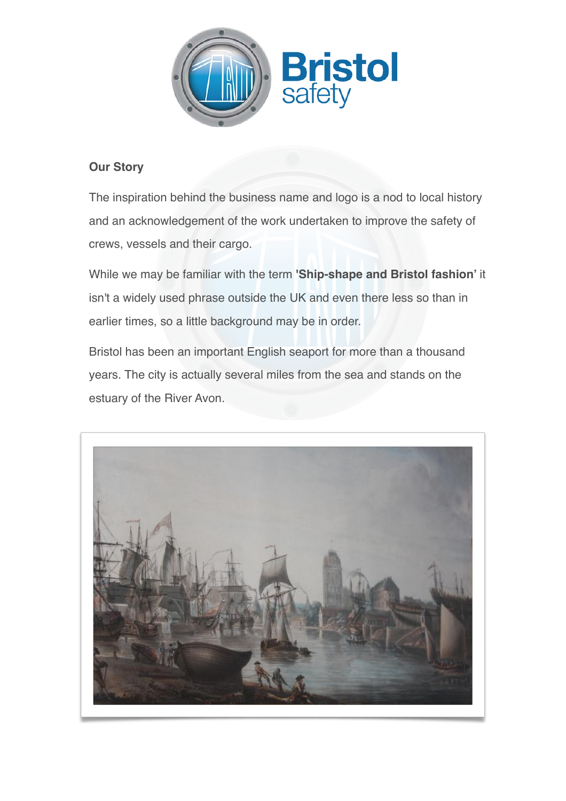

## **Our Story**

The inspiration behind the business name and logo is a nod to local history and an acknowledgement of the work undertaken to improve the safety of crews, vessels and their cargo.

While we may be familiar with the term **'Ship-shape and Bristol fashion'** it isn't a widely used phrase outside the UK and even there less so than in earlier times, so a little background may be in order.

Bristol has been an important English seaport for more than a thousand years. The city is actually several miles from the sea and stands on the estuary of the River Avon.

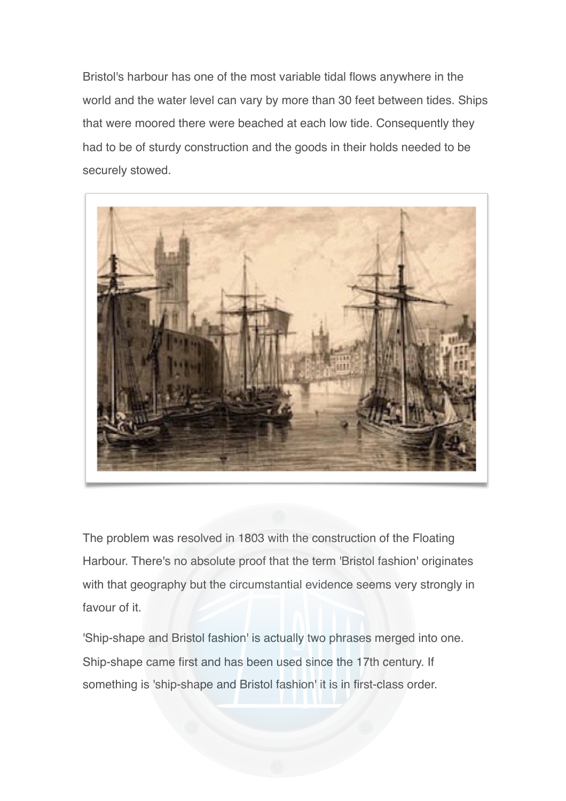Bristol's harbour has one of the most variable tidal flows anywhere in the world and the water level can vary by more than 30 feet between tides. Ships that were moored there were beached at each low tide. Consequently they had to be of sturdy construction and the goods in their holds needed to be securely stowed.



The problem was resolved in 1803 with the construction of the Floating Harbour. There's no absolute proof that the term 'Bristol fashion' originates with that geography but the circumstantial evidence seems very strongly in favour of it.

'Ship-shape and Bristol fashion' is actually two phrases merged into one. Ship-shape came first and has been used since the 17th century. If something is 'ship-shape and Bristol fashion' it is in first-class order.